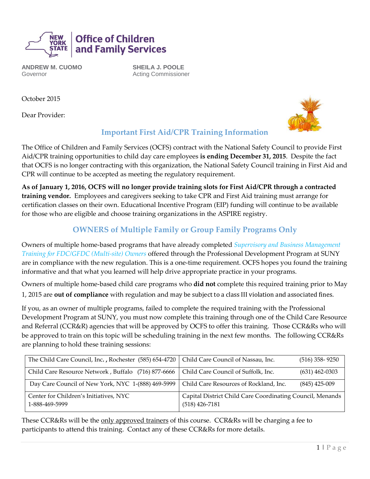

**ANDREW M. CUOMO** Governor

**SHEILA J. POOLE** Acting Commissioner

October 2015

Dear Provider:



## **Important First Aid/CPR Training Information**

The Office of Children and Family Services (OCFS) contract with the National Safety Council to provide First Aid/CPR training opportunities to child day care employees **is ending December 31, 2015**. Despite the fact that OCFS is no longer contracting with this organization, the National Safety Council training in First Aid and CPR will continue to be accepted as meeting the regulatory requirement.

**As of January 1, 2016, OCFS will no longer provide training slots for First Aid/CPR through a contracted training vendor.** Employees and caregivers seeking to take CPR and First Aid training must arrange for certification classes on their own. Educational Incentive Program (EIP) funding will continue to be available for those who are eligible and choose training organizations in the ASPIRE registry.

## **OWNERS of Multiple Family or Group Family Programs Only**

Owners of multiple home-based programs that have already completed *Supervisory and Business Management Training for FDC/GFDC (Multi-site) Owners* offered through the Professional Development Program at SUNY are in compliance with the new regulation. This is a one-time requirement. OCFS hopes you found the training informative and that what you learned will help drive appropriate practice in your programs.

Owners of multiple home-based child care programs who **did not** complete this required training prior to May 1, 2015 are **out of compliance** with regulation and may be subject to a class III violation and associated fines.

If you, as an owner of multiple programs, failed to complete the required training with the Professional Development Program at SUNY, you must now complete this training through one of the Child Care Resource and Referral (CCR&R) agencies that will be approved by OCFS to offer this training. Those CCR&Rs who will be approved to train on this topic will be scheduling training in the next few months. The following CCR&Rs are planning to hold these training sessions:

| The Child Care Council, Inc., Rochester (585) 654-4720   Child Care Council of Nassau, Inc. |                                                                               | $(516)$ 358-9250 |
|---------------------------------------------------------------------------------------------|-------------------------------------------------------------------------------|------------------|
| Child Care Resource Network, Buffalo (716) 877-6666                                         | Child Care Council of Suffolk, Inc.                                           | $(631)$ 462-0303 |
| Day Care Council of New York, NYC 1-(888) 469-5999                                          | Child Care Resources of Rockland, Inc.                                        | $(845)$ 425-009  |
| Center for Children's Initiatives, NYC<br>1-888-469-5999                                    | Capital District Child Care Coordinating Council, Menands<br>$(518)$ 426-7181 |                  |

These CCR&Rs will be the only approved trainers of this course. CCR&Rs will be charging a fee to participants to attend this training. Contact any of these CCR&Rs for more details.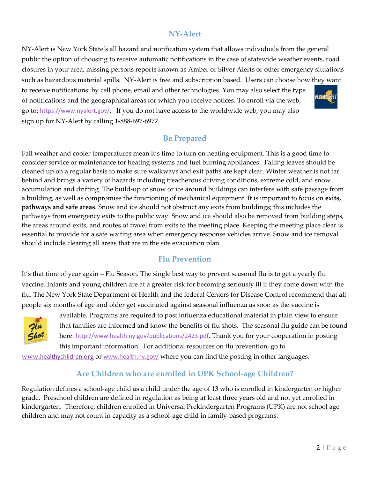## **NY-Alert**

NY-Alert is New York State's all hazard and notification system that allows individuals from the general public the option of choosing to receive automatic notifications in the case of statewide weather events, road closures in your area, missing persons reports known as Amber or Silver Alerts or other emergency situations such as hazardous material spills. NY-Alert is free and subscription based. Users can choose how they want to receive notifications: by cell phone, email and other technologies. You may also select the type RT of notifications and the geographical areas for which you receive notices. To enroll via the web,

go to: <https://www.nyalert.gov/>. If you do not have access to the worldwide web, you may also

sign up for NY-Alert by calling 1-888-697-6972.

**Be Prepared**

Fall weather and cooler temperatures mean it's time to turn on heating equipment. This is a good time to consider service or maintenance for heating systems and fuel burning appliances. Falling leaves should be cleaned up on a regular basis to make sure walkways and exit paths are kept clear. Winter weather is not far behind and brings a variety of hazards including treacherous driving conditions, extreme cold, and snow accumulation and drifting. The build-up of snow or ice around buildings can interfere with safe passage from a building, as well as compromise the functioning of mechanical equipment. It is important to focus on **exits, pathways and safe areas**. Snow and ice should not obstruct any exits from buildings; this includes the pathways from emergency exits to the public way. Snow and ice should also be removed from building steps, the areas around exits, and routes of travel from exits to the meeting place. Keeping the meeting place clear is essential to provide for a safe waiting area when emergency response vehicles arrive. Snow and ice removal should include clearing all areas that are in the site evacuation plan.

## **Flu Prevention**

It's that time of year again – Flu Season. The single best way to prevent seasonal flu is to get a yearly flu vaccine. Infants and young children are at a greater risk for becoming seriously ill if they come down with the flu. The New York State Department of Health and the federal Centers for Disease Control recommend that all people six months of age and older get vaccinated against seasonal influenza as soon as the vaccine is



available. Programs are required to post influenza educational material in plain view to ensure that families are informed and know the benefits of flu shots. The seasonal flu guide can be found here: <http://www.health.ny.gov/publications/2423.pdf>. Thank you for your cooperation in posting this important information. For additional resources on flu prevention, go to

www.healthychildren.org or [www.health.ny.gov/](http://www.health.ny.gov/) where you can find the posting in other languages.

## **Are Children who are enrolled in UPK School-age Children?**

Regulation defines a school-age child as a child under the age of 13 who is enrolled in kindergarten or higher grade. Preschool children are defined in regulation as being at least three years old and not yet enrolled in kindergarten. Therefore, children enrolled in Universal Prekindergarten Programs (UPK) are not school age children and may not count in capacity as a school-age child in family-based programs.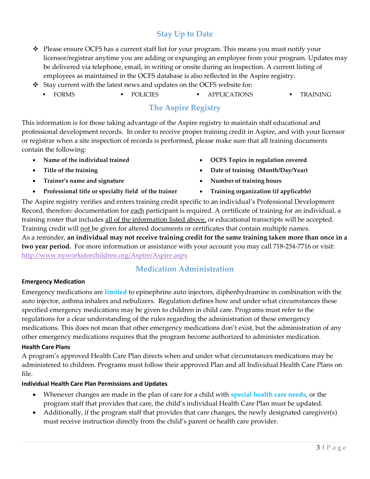# **Stay Up to Date**

- $\bullet$  Please ensure OCFS has a current staff list for your program. This means you must notify your licensor/registrar anytime you are adding or expunging an employee from your program. Updates may be delivered via telephone, email, in writing or onsite during an inspection. A current listing of employees as maintained in the OCFS database is also reflected in the Aspire registry.
- $\cdot$  Stay current with the latest news and updates on the OCFS website for:
	- FORMS POLICIES APPLICATIONS TRAINING

## **The Aspire Registry**

This information is for those taking advantage of the Aspire registry to maintain staff educational and professional development records. In order to receive proper training credit in Aspire, and with your licensor or registrar when a site inspection of records is performed, please make sure that all training documents contain the following:

- 
- 
- Trainer's name and signature **the contract of the set of the set of training hours •** Number of training hours
- **Professional title or specialty field of the trainer Training organization (if applicable)**
- Name of the individual trained **1996 1996 10 CFS** Topics in regulation covered
- Title of the training **because that the contract of the contract of training (Month/Day/Year)** 
	-
	-

The Aspire registry verifies and enters training credit specific to an individual's Professional Development Record, therefore documentation for each participant is required. A certificate of training for an individual, a training roster that includes all of the information listed above, or educational transcripts will be accepted. Training credit will not be given for altered documents or certificates that contain multiple names. As a reminder, **an individual may not receive training credit for the same training taken more than once in a two year period.** For more information or assistance with your account you may call 718-254-7716 or visit: <http://www.nyworksforchildren.org/Aspire/Aspire.aspx>

# **Medication Administration**

### **Emergency Medication**

Emergency medications are **limited** to epinephrine auto injectors, diphenhydramine in combination with the auto injector, asthma inhalers and nebulizers. Regulation defines how and under what circumstances these specified emergency medications may be given to children in child care. Programs must refer to the regulations for a clear understanding of the rules regarding the administration of these emergency medications. This does not mean that other emergency medications don't exist, but the administration of any other emergency medications requires that the program become authorized to administer medication.

### **Health Care Plans**

A program's approved Health Care Plan directs when and under what circumstances medications may be administered to children. Programs must follow their approved Plan and all Individual Health Care Plans on file.

### **Individual Health Care Plan Permissions and Updates**

- Whenever changes are made in the plan of care for a child with **special health care needs**, or the program staff that provides that care, the child's individual Health Care Plan must be updated.
- Additionally, if the program staff that provides that care changes, the newly designated caregiver(s) must receive instruction directly from the child's parent or health care provider.